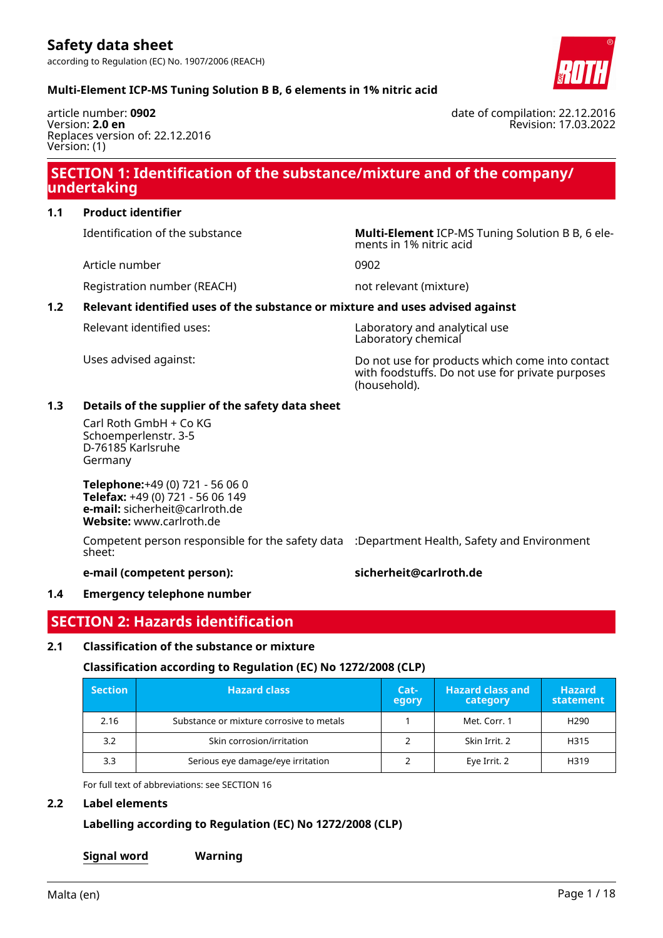

# **Multi-Element ICP-MS Tuning Solution B B, 6 elements in 1% nitric acid**

article number: **0902** Version: **2.0 en** Replaces version of: 22.12.2016 Version: (1)

# **SECTION 1: Identification of the substance/mixture and of the company/ undertaking**

# **1.1 Product identifier**

Identification of the substance **Multi-Element** ICP-MS Tuning Solution B B, 6 ele-

Article number 0902

Registration number (REACH) not relevant (mixture)

ments in 1% nitric acid

# **1.2 Relevant identified uses of the substance or mixture and uses advised against**

Relevant identified uses: Laboratory and analytical use Laboratory chemical

Uses advised against: Do not use for products which come into contact with foodstuffs. Do not use for private purposes (household).

# **1.3 Details of the supplier of the safety data sheet**

Carl Roth GmbH + Co KG Schoemperlenstr. 3-5 D-76185 Karlsruhe Germany

**Telephone:**+49 (0) 721 - 56 06 0 **Telefax:** +49 (0) 721 - 56 06 149 **e-mail:** sicherheit@carlroth.de **Website:** www.carlroth.de

Competent person responsible for the safety data :Department Health, Safety and Environment sheet:

**e-mail (competent person): sicherheit@carlroth.de**

# **1.4 Emergency telephone number**

# **SECTION 2: Hazards identification**

# **2.1 Classification of the substance or mixture**

# **Classification according to Regulation (EC) No 1272/2008 (CLP)**

| <b>Section</b> | <b>Hazard class</b>                      | Cat-<br>egory | <b>Hazard class and</b><br>category | <b>Hazard</b><br><b>statement</b> |
|----------------|------------------------------------------|---------------|-------------------------------------|-----------------------------------|
| 2.16           | Substance or mixture corrosive to metals |               | Met. Corr. 1                        | H <sub>290</sub>                  |
| 3.2            | Skin corrosion/irritation                |               | Skin Irrit. 2                       | H315                              |
| 3.3            | Serious eye damage/eye irritation        |               | Eye Irrit. 2                        | H319                              |

For full text of abbreviations: see SECTION 16

### **2.2 Label elements**

# **Labelling according to Regulation (EC) No 1272/2008 (CLP)**

**Signal word Warning**

date of compilation: 22.12.2016 Revision: 17.03.2022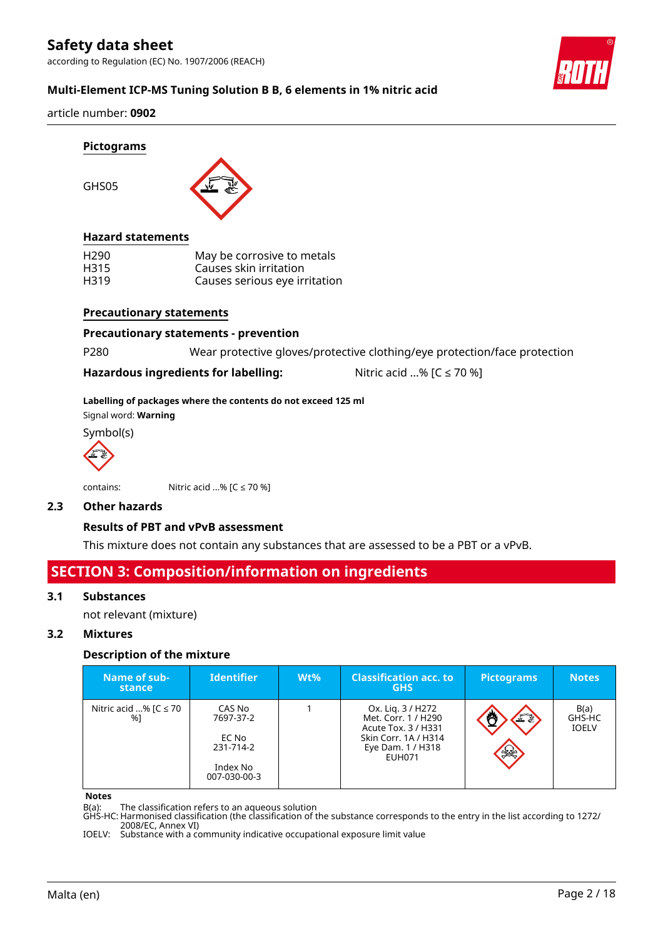according to Regulation (EC) No. 1907/2006 (REACH)



# **Multi-Element ICP-MS Tuning Solution B B, 6 elements in 1% nitric acid**

article number: **0902**

GHS05



### **Hazard statements**

| H <sub>290</sub> | May be corrosive to metals    |
|------------------|-------------------------------|
| H315             | Causes skin irritation        |
| H319             | Causes serious eye irritation |

#### **Precautionary statements**

**Precautionary statements - prevention**

P280 Wear protective gloves/protective clothing/eye protection/face protection

#### **Hazardous ingredients for labelling:** Nitric acid ...% [C ≤ 70 %]

#### **Labelling of packages where the contents do not exceed 125 ml**

Signal word: **Warning**

Symbol(s)



contains:  $Nitric acid ... % [C \le 70 %]$ 

# **2.3 Other hazards**

### **Results of PBT and vPvB assessment**

This mixture does not contain any substances that are assessed to be a PBT or a vPvB.

# **SECTION 3: Composition/information on ingredients**

### **3.1 Substances**

not relevant (mixture)

### **3.2 Mixtures**

### **Description of the mixture**

| Name of sub-<br>stance          | <b>Identifier</b>                                                     | $Wt\%$ | <b>Classification acc. to</b><br><b>GHS</b>                                                                            | <b>Pictograms</b> | <b>Notes</b>                   |
|---------------------------------|-----------------------------------------------------------------------|--------|------------------------------------------------------------------------------------------------------------------------|-------------------|--------------------------------|
| Nitric acid % $IC \le 70$<br>%1 | CAS No<br>7697-37-2<br>EC No<br>231-714-2<br>Index No<br>007-030-00-3 |        | Ox. Lig. 3 / H272<br>Met. Corr. 1 / H290<br>Acute Tox. 3 / H331<br>Skin Corr. 1A / H314<br>Eye Dam. 1 / H318<br>EUH071 | FE<br>$rac{1}{2}$ | B(a)<br>GHS-HC<br><b>IOELV</b> |

#### **Notes**

B(a): The classification refers to an aqueous solution

GHS-HC: Harmonised classification (the classification of the substance corresponds to the entry in the list according to 1272/ 2008/EC, Annex VI)

IOELV: Substance with a community indicative occupational exposure limit value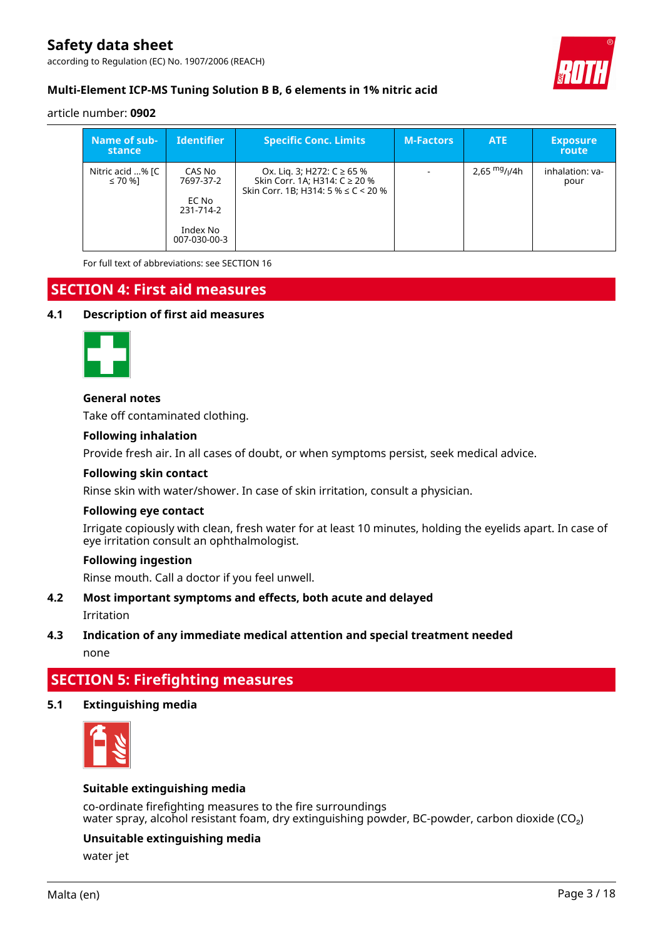according to Regulation (EC) No. 1907/2006 (REACH)



# **Multi-Element ICP-MS Tuning Solution B B, 6 elements in 1% nitric acid**

#### article number: **0902**

| Name of sub-<br>stance           | <b>Identifier</b>                                                     | <b>Specific Conc. Limits</b>                                                                            | <b>M-Factors</b>         | <b>ATE</b>     | <b>Exposure</b><br>route |
|----------------------------------|-----------------------------------------------------------------------|---------------------------------------------------------------------------------------------------------|--------------------------|----------------|--------------------------|
| Nitric acid % [C<br>$\leq 70$ %] | CAS No<br>7697-37-2<br>EC No<br>231-714-2<br>Index No<br>007-030-00-3 | Ox. Lig. 3; H272: C ≥ 65 %<br>Skin Corr. 1A; H314: C ≥ 20 %<br>Skin Corr. 1B; H314: 5 % $\leq$ C < 20 % | $\overline{\phantom{a}}$ | 2,65 $mg/1/4h$ | inhalation: va-<br>pour  |

For full text of abbreviations: see SECTION 16

# **SECTION 4: First aid measures**

### **4.1 Description of first aid measures**



#### **General notes**

Take off contaminated clothing.

#### **Following inhalation**

Provide fresh air. In all cases of doubt, or when symptoms persist, seek medical advice.

#### **Following skin contact**

Rinse skin with water/shower. In case of skin irritation, consult a physician.

#### **Following eye contact**

Irrigate copiously with clean, fresh water for at least 10 minutes, holding the eyelids apart. In case of eye irritation consult an ophthalmologist.

#### **Following ingestion**

Rinse mouth. Call a doctor if you feel unwell.

#### **4.2 Most important symptoms and effects, both acute and delayed**

Irritation

#### **4.3 Indication of any immediate medical attention and special treatment needed**

none

# **SECTION 5: Firefighting measures**

# **5.1 Extinguishing media**



# **Suitable extinguishing media**

co-ordinate firefighting measures to the fire surroundings water spray, alcohol resistant foam, dry extinguishing powder, BC-powder, carbon dioxide (CO<sub>2</sub>)

# **Unsuitable extinguishing media**

water jet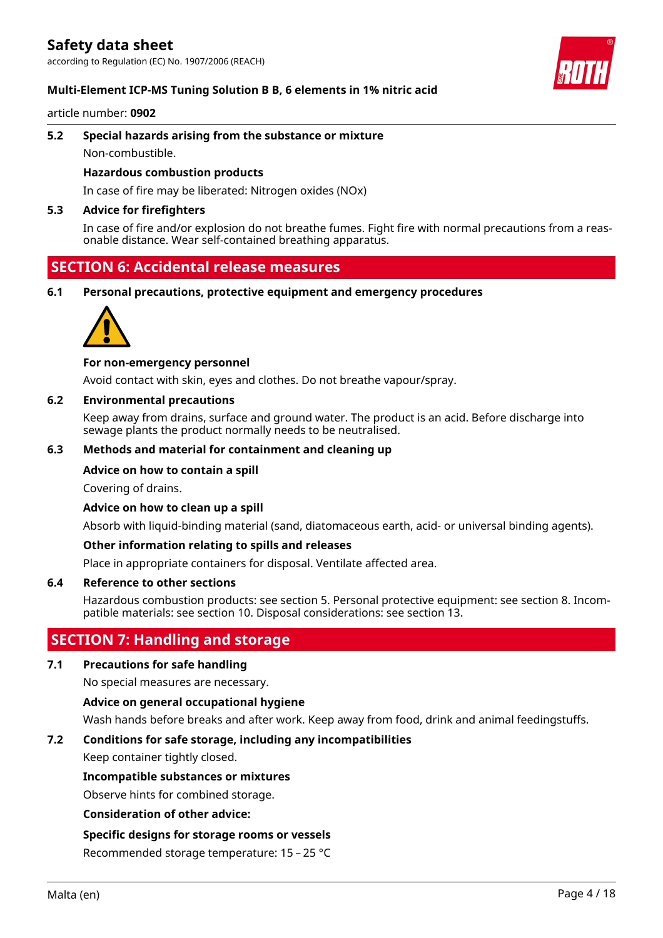according to Regulation (EC) No. 1907/2006 (REACH)

#### **Multi-Element ICP-MS Tuning Solution B B, 6 elements in 1% nitric acid**

article number: **0902**

# **5.2 Special hazards arising from the substance or mixture**

Non-combustible.

#### **Hazardous combustion products**

In case of fire may be liberated: Nitrogen oxides (NOx)

#### **5.3 Advice for firefighters**

In case of fire and/or explosion do not breathe fumes. Fight fire with normal precautions from a reasonable distance. Wear self-contained breathing apparatus.

# **SECTION 6: Accidental release measures**

**6.1 Personal precautions, protective equipment and emergency procedures**



#### **For non-emergency personnel**

Avoid contact with skin, eyes and clothes. Do not breathe vapour/spray.

### **6.2 Environmental precautions**

Keep away from drains, surface and ground water. The product is an acid. Before discharge into sewage plants the product normally needs to be neutralised.

### **6.3 Methods and material for containment and cleaning up**

#### **Advice on how to contain a spill**

Covering of drains.

### **Advice on how to clean up a spill**

Absorb with liquid-binding material (sand, diatomaceous earth, acid- or universal binding agents).

### **Other information relating to spills and releases**

Place in appropriate containers for disposal. Ventilate affected area.

### **6.4 Reference to other sections**

Hazardous combustion products: see section 5. Personal protective equipment: see section 8. Incompatible materials: see section 10. Disposal considerations: see section 13.

# **SECTION 7: Handling and storage**

# **7.1 Precautions for safe handling**

No special measures are necessary.

### **Advice on general occupational hygiene**

Wash hands before breaks and after work. Keep away from food, drink and animal feedingstuffs.

# **7.2 Conditions for safe storage, including any incompatibilities**

Keep container tightly closed.

### **Incompatible substances or mixtures**

Observe hints for combined storage.

#### **Consideration of other advice:**

### **Specific designs for storage rooms or vessels**

Recommended storage temperature: 15 – 25 °C

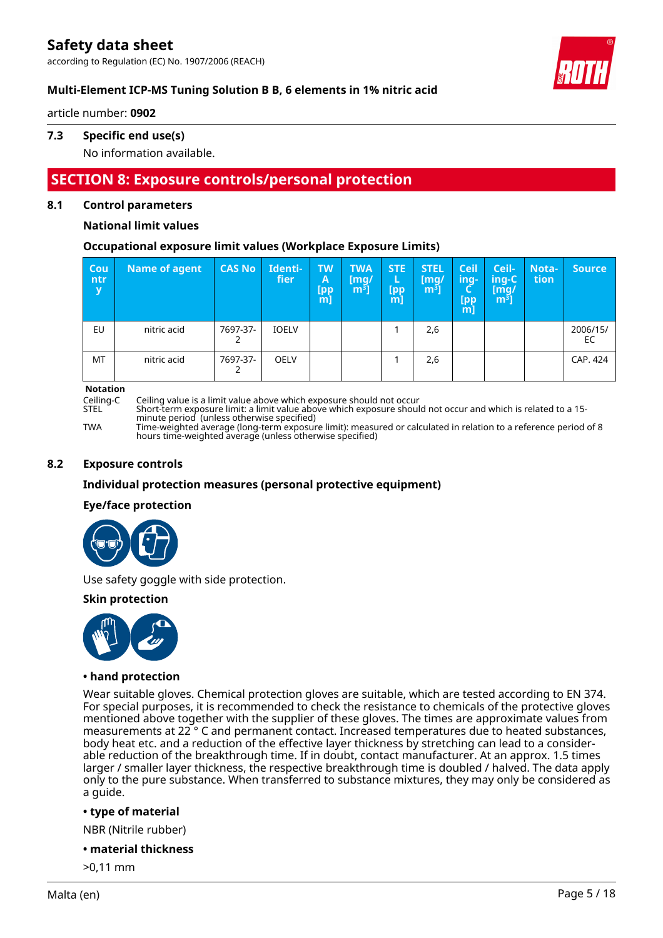according to Regulation (EC) No. 1907/2006 (REACH)



# **Multi-Element ICP-MS Tuning Solution B B, 6 elements in 1% nitric acid**

article number: **0902**

# **7.3 Specific end use(s)**

No information available.

# **SECTION 8: Exposure controls/personal protection**

### **8.1 Control parameters**

# **National limit values**

# **Occupational exposure limit values (Workplace Exposure Limits)**

| Cou<br>ntr<br>y | Name of agent | <b>CAS No</b> | Identi-<br>fier | <b>TW</b><br>A<br>[pp<br>m] | <b>TWA</b><br>[mq/<br>m <sup>3</sup> | STE:<br>ь<br>[pp<br>[m] | <b>STEL</b><br>$\lceil \mathsf{mq}/ \rceil$<br>m <sup>3</sup> | <b>Ceil</b><br>-ing<br>ч<br>$[$ pp<br>m] | Ceil-<br>ing-C ا<br>[mg/<br>$\mathsf{m}^{\mathsf{s}}$ ] | Nota-<br>tion | <b>Source</b>  |
|-----------------|---------------|---------------|-----------------|-----------------------------|--------------------------------------|-------------------------|---------------------------------------------------------------|------------------------------------------|---------------------------------------------------------|---------------|----------------|
| EU              | nitric acid   | 7697-37-      | <b>IOELV</b>    |                             |                                      |                         | 2,6                                                           |                                          |                                                         |               | 2006/15/<br>EC |
| MT              | nitric acid   | 7697-37-      | <b>OELV</b>     |                             |                                      |                         | 2,6                                                           |                                          |                                                         |               | CAP. 424       |

**Notation**<br>Ceiling-C

Ceiling-C Ceiling value is a limit value above which exposure should not occur

Short-term exposure limit: a limit value above which exposure should not occur and which is related to a 15minute period (unless otherwise specified)

TWA Time-weighted average (long-term exposure limit): measured or calculated in relation to a reference period of 8 hours time-weighted average (unless otherwise specified)

### **8.2 Exposure controls**

### **Individual protection measures (personal protective equipment)**

### **Eye/face protection**



Use safety goggle with side protection.

# **Skin protection**



### **• hand protection**

Wear suitable gloves. Chemical protection gloves are suitable, which are tested according to EN 374. For special purposes, it is recommended to check the resistance to chemicals of the protective gloves mentioned above together with the supplier of these gloves. The times are approximate values from measurements at 22 ° C and permanent contact. Increased temperatures due to heated substances, body heat etc. and a reduction of the effective layer thickness by stretching can lead to a considerable reduction of the breakthrough time. If in doubt, contact manufacturer. At an approx. 1.5 times larger / smaller layer thickness, the respective breakthrough time is doubled / halved. The data apply only to the pure substance. When transferred to substance mixtures, they may only be considered as a guide.

### **• type of material**

NBR (Nitrile rubber)

#### **• material thickness**

>0,11 mm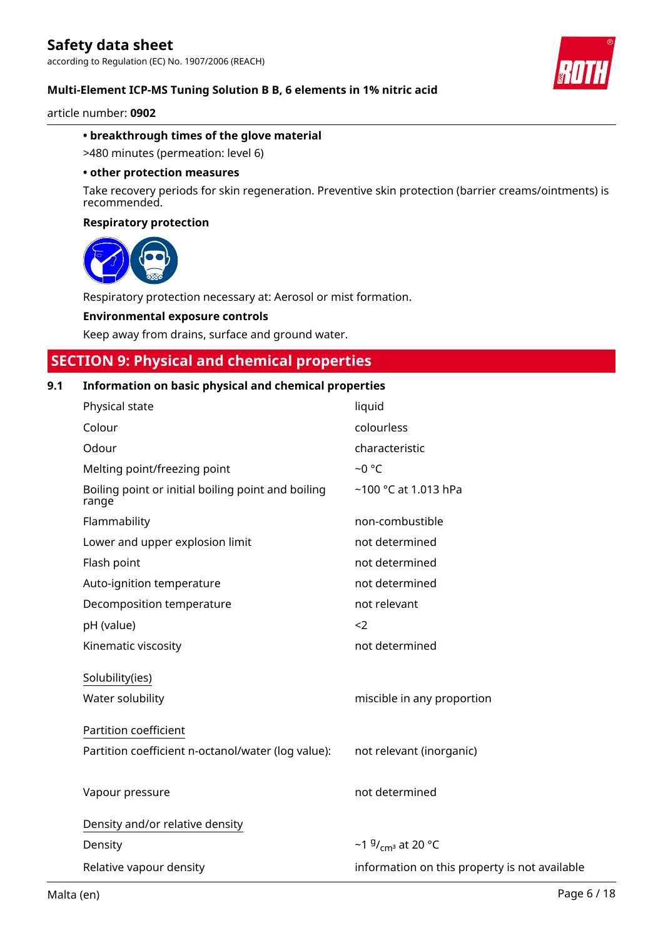according to Regulation (EC) No. 1907/2006 (REACH)

#### **Multi-Element ICP-MS Tuning Solution B B, 6 elements in 1% nitric acid**

article number: **0902**

#### **• breakthrough times of the glove material**

>480 minutes (permeation: level 6)

#### **• other protection measures**

Take recovery periods for skin regeneration. Preventive skin protection (barrier creams/ointments) is recommended.

#### **Respiratory protection**



Respiratory protection necessary at: Aerosol or mist formation.

#### **Environmental exposure controls**

Keep away from drains, surface and ground water.

# **SECTION 9: Physical and chemical properties**

# **9.1 Information on basic physical and chemical properties**

| Physical state                                              | liquid                                        |
|-------------------------------------------------------------|-----------------------------------------------|
| Colour                                                      | colourless                                    |
| Odour                                                       | characteristic                                |
| Melting point/freezing point                                | $-0$ °C                                       |
| Boiling point or initial boiling point and boiling<br>range | ~100 °C at 1.013 hPa                          |
| Flammability                                                | non-combustible                               |
| Lower and upper explosion limit                             | not determined                                |
| Flash point                                                 | not determined                                |
| Auto-ignition temperature                                   | not determined                                |
| Decomposition temperature                                   | not relevant                                  |
| pH (value)                                                  | $<$ 2                                         |
| Kinematic viscosity                                         | not determined                                |
| Solubility(ies)                                             |                                               |
| Water solubility                                            | miscible in any proportion                    |
| Partition coefficient                                       |                                               |
| Partition coefficient n-octanol/water (log value):          | not relevant (inorganic)                      |
|                                                             |                                               |
| Vapour pressure                                             | not determined                                |
| Density and/or relative density                             |                                               |
| Density                                                     | ~1 $9/$ <sub>cm</sub> at 20 °C                |
| Relative vapour density                                     | information on this property is not available |
|                                                             |                                               |

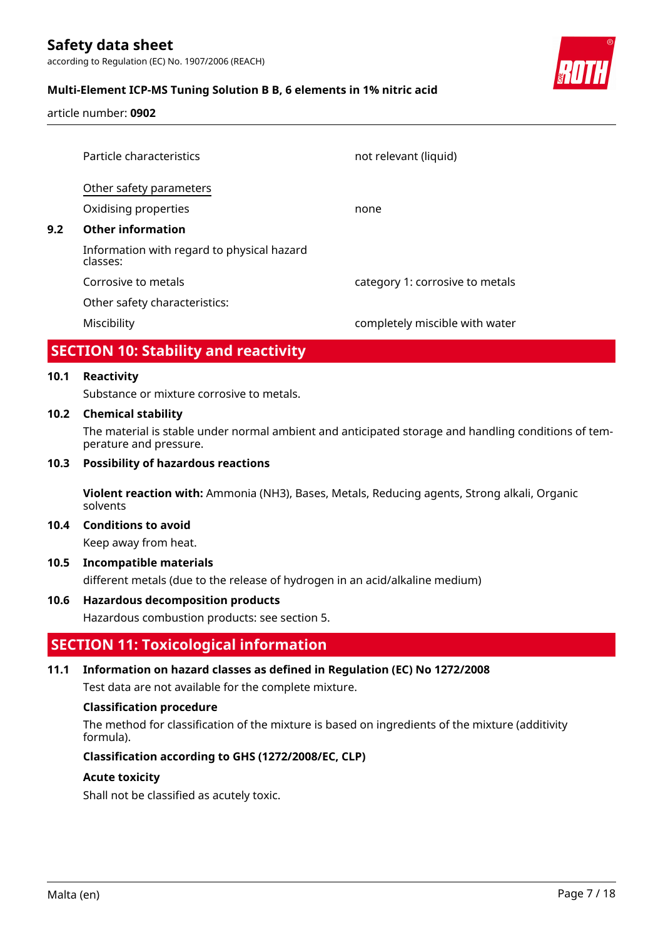according to Regulation (EC) No. 1907/2006 (REACH)

# **Multi-Element ICP-MS Tuning Solution B B, 6 elements in 1% nitric acid**

article number: **0902**

|     | Particle characteristics                               | not relevant (liquid)           |
|-----|--------------------------------------------------------|---------------------------------|
|     | Other safety parameters                                |                                 |
|     | Oxidising properties                                   | none                            |
| 9.2 | <b>Other information</b>                               |                                 |
|     | Information with regard to physical hazard<br>classes: |                                 |
|     | Corrosive to metals                                    | category 1: corrosive to metals |
|     | Other safety characteristics:                          |                                 |
|     | Miscibility                                            | completely miscible with water  |

# **SECTION 10: Stability and reactivity**

#### **10.1 Reactivity**

Substance or mixture corrosive to metals.

#### **10.2 Chemical stability**

The material is stable under normal ambient and anticipated storage and handling conditions of temperature and pressure.

#### **10.3 Possibility of hazardous reactions**

**Violent reaction with:** Ammonia (NH3), Bases, Metals, Reducing agents, Strong alkali, Organic solvents

#### **10.4 Conditions to avoid**

Keep away from heat.

### **10.5 Incompatible materials**

different metals (due to the release of hydrogen in an acid/alkaline medium)

### **10.6 Hazardous decomposition products**

Hazardous combustion products: see section 5.

# **SECTION 11: Toxicological information**

### **11.1 Information on hazard classes as defined in Regulation (EC) No 1272/2008**

Test data are not available for the complete mixture.

#### **Classification procedure**

The method for classification of the mixture is based on ingredients of the mixture (additivity formula).

### **Classification according to GHS (1272/2008/EC, CLP)**

### **Acute toxicity**

Shall not be classified as acutely toxic.

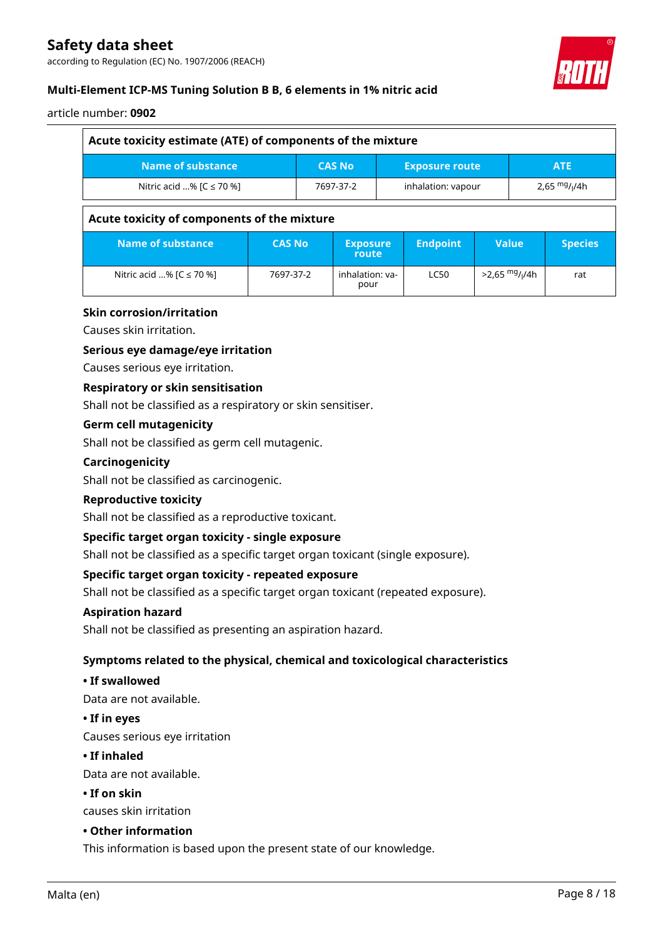according to Regulation (EC) No. 1907/2006 (REACH)



# **Multi-Element ICP-MS Tuning Solution B B, 6 elements in 1% nitric acid**

### article number: **0902**

| Acute toxicity estimate (ATE) of components of the mixture |               |               |                                 |  |                       |                              |                |                |  |
|------------------------------------------------------------|---------------|---------------|---------------------------------|--|-----------------------|------------------------------|----------------|----------------|--|
| <b>Name of substance</b>                                   |               | <b>CAS No</b> |                                 |  | <b>Exposure route</b> |                              | <b>ATE</b>     |                |  |
| Nitric acid % $[C \le 70$ %]                               |               |               | 7697-37-2<br>inhalation: vapour |  |                       |                              | 2,65 $mg/1/4h$ |                |  |
| Acute toxicity of components of the mixture                |               |               |                                 |  |                       |                              |                |                |  |
| <b>Name of substance</b>                                   | <b>CAS No</b> |               | <b>Exposure</b><br>route        |  | <b>Endpoint</b>       | <b>Value</b>                 |                | <b>Species</b> |  |
| Nitric acid % $[C \le 70$ %]                               | 7697-37-2     |               | inhalation: ya-<br>pour         |  | <b>LC50</b>           | $>2.65$ mg/ <sub>1</sub> /4h |                | rat            |  |

# **Skin corrosion/irritation**

Causes skin irritation.

### **Serious eye damage/eye irritation**

Causes serious eye irritation.

### **Respiratory or skin sensitisation**

Shall not be classified as a respiratory or skin sensitiser.

#### **Germ cell mutagenicity**

Shall not be classified as germ cell mutagenic.

#### **Carcinogenicity**

Shall not be classified as carcinogenic.

#### **Reproductive toxicity**

Shall not be classified as a reproductive toxicant.

### **Specific target organ toxicity - single exposure**

Shall not be classified as a specific target organ toxicant (single exposure).

### **Specific target organ toxicity - repeated exposure**

Shall not be classified as a specific target organ toxicant (repeated exposure).

#### **Aspiration hazard**

Shall not be classified as presenting an aspiration hazard.

### **Symptoms related to the physical, chemical and toxicological characteristics**

#### **• If swallowed**

Data are not available.

#### **• If in eyes**

Causes serious eye irritation

#### **• If inhaled**

Data are not available.

# **• If on skin**

causes skin irritation

### **• Other information**

This information is based upon the present state of our knowledge.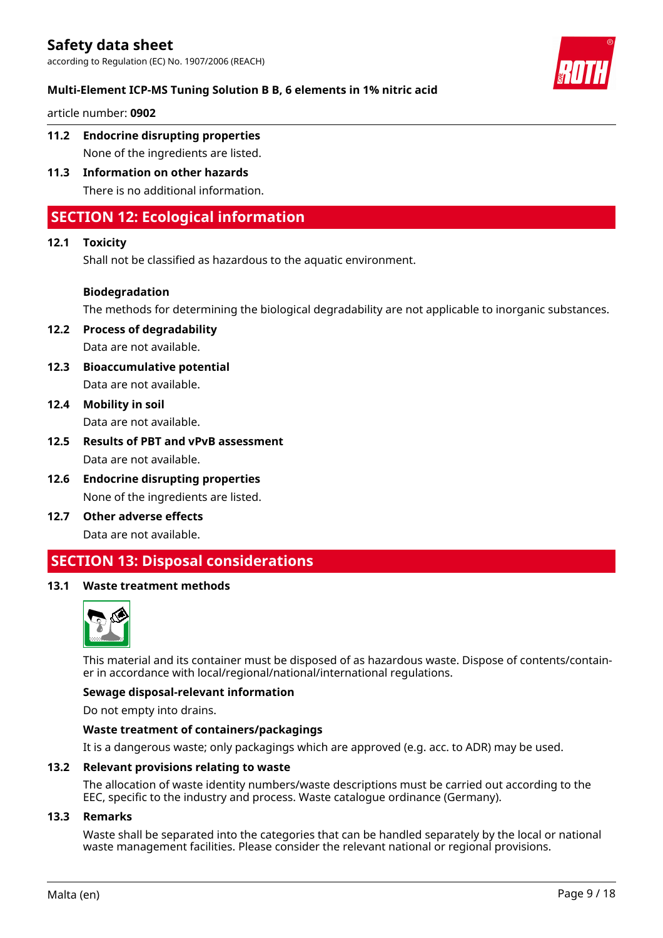according to Regulation (EC) No. 1907/2006 (REACH)



article number: **0902**

- **11.2 Endocrine disrupting properties** None of the ingredients are listed.
- **11.3 Information on other hazards** There is no additional information.

# **SECTION 12: Ecological information**

### **12.1 Toxicity**

Shall not be classified as hazardous to the aquatic environment.

### **Biodegradation**

The methods for determining the biological degradability are not applicable to inorganic substances.

**12.2 Process of degradability** Data are not available.

- **12.3 Bioaccumulative potential** Data are not available.
- **12.4 Mobility in soil** Data are not available.
- **12.5 Results of PBT and vPvB assessment** Data are not available.
- **12.6 Endocrine disrupting properties** None of the ingredients are listed.
- **12.7 Other adverse effects** Data are not available.

# **SECTION 13: Disposal considerations**

### **13.1 Waste treatment methods**



This material and its container must be disposed of as hazardous waste. Dispose of contents/container in accordance with local/regional/national/international regulations.

#### **Sewage disposal-relevant information**

Do not empty into drains.

#### **Waste treatment of containers/packagings**

It is a dangerous waste; only packagings which are approved (e.g. acc. to ADR) may be used.

#### **13.2 Relevant provisions relating to waste**

The allocation of waste identity numbers/waste descriptions must be carried out according to the EEC, specific to the industry and process. Waste catalogue ordinance (Germany).

#### **13.3 Remarks**

Waste shall be separated into the categories that can be handled separately by the local or national waste management facilities. Please consider the relevant national or regional provisions.

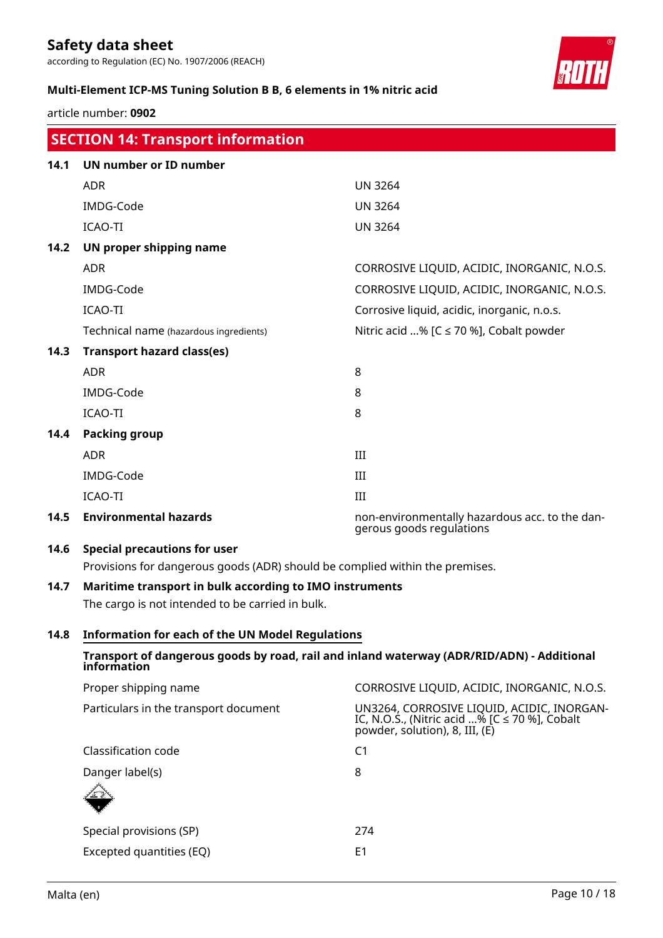according to Regulation (EC) No. 1907/2006 (REACH)

### **Multi-Element ICP-MS Tuning Solution B B, 6 elements in 1% nitric acid**

article number: **0902**

|      | <b>SECTION 14: Transport information</b>                                                                                                                                                                                                                                                 |                                                                            |
|------|------------------------------------------------------------------------------------------------------------------------------------------------------------------------------------------------------------------------------------------------------------------------------------------|----------------------------------------------------------------------------|
| 14.1 | <b>UN number or ID number</b>                                                                                                                                                                                                                                                            |                                                                            |
|      | <b>ADR</b>                                                                                                                                                                                                                                                                               | <b>UN 3264</b>                                                             |
|      | IMDG-Code                                                                                                                                                                                                                                                                                | <b>UN 3264</b>                                                             |
|      | <b>ICAO-TI</b>                                                                                                                                                                                                                                                                           | <b>UN 3264</b>                                                             |
| 14.2 | UN proper shipping name                                                                                                                                                                                                                                                                  |                                                                            |
|      | <b>ADR</b>                                                                                                                                                                                                                                                                               | CORROSIVE LIQUID, ACIDIC, INORGANIC, N.O.S.                                |
|      | IMDG-Code                                                                                                                                                                                                                                                                                | CORROSIVE LIQUID, ACIDIC, INORGANIC, N.O.S.                                |
|      | <b>ICAO-TI</b>                                                                                                                                                                                                                                                                           | Corrosive liquid, acidic, inorganic, n.o.s.                                |
|      | Technical name (hazardous ingredients)                                                                                                                                                                                                                                                   | Nitric acid % [ $C \le 70$ %], Cobalt powder                               |
| 14.3 | <b>Transport hazard class(es)</b>                                                                                                                                                                                                                                                        |                                                                            |
|      | <b>ADR</b>                                                                                                                                                                                                                                                                               | 8                                                                          |
|      | IMDG-Code                                                                                                                                                                                                                                                                                | 8                                                                          |
|      | <b>ICAO-TI</b>                                                                                                                                                                                                                                                                           | 8                                                                          |
| 14.4 | <b>Packing group</b>                                                                                                                                                                                                                                                                     |                                                                            |
|      | <b>ADR</b>                                                                                                                                                                                                                                                                               | III                                                                        |
|      | IMDG-Code                                                                                                                                                                                                                                                                                | III                                                                        |
|      | <b>ICAO-TI</b>                                                                                                                                                                                                                                                                           | III                                                                        |
| 14.5 | <b>Environmental hazards</b>                                                                                                                                                                                                                                                             | non-environmentally hazardous acc. to the dan-<br>gerous goods regulations |
| 14.6 | <b>Special precautions for user</b>                                                                                                                                                                                                                                                      |                                                                            |
|      | $\mathbf{r}$ , $\mathbf{r}$ , and $\mathbf{r}$ , and $\mathbf{r}$ , and $\mathbf{r}$ , and $\mathbf{r}$ , and $\mathbf{r}$ , and $\mathbf{r}$ , and $\mathbf{r}$ , and $\mathbf{r}$ , and $\mathbf{r}$ , and $\mathbf{r}$ , and $\mathbf{r}$ , and $\mathbf{r}$ , and $\mathbf{r}$ , and |                                                                            |

# Provisions for dangerous goods (ADR) should be complied within the premises.

# **14.7 Maritime transport in bulk according to IMO instruments**

The cargo is not intended to be carried in bulk.

# **14.8 Information for each of the UN Model Regulations**

# **Transport of dangerous goods by road, rail and inland waterway (ADR/RID/ADN) - Additional information** Proper shipping name **CORROSIVE LIQUID, ACIDIC, INORGANIC, N.O.S.** Particulars in the transport document UN3264, CORROSIVE LIQUID, ACIDIC, INORGAN-IC, N.O.S., (Nitric acid ...% [C ≤ 70 %], Cobalt powder, solution), 8, III, (E) Classification code C1 Danger label(s) 8

| $\mathcal{N}$            |     |
|--------------------------|-----|
| Special provisions (SP)  | 274 |
| Excepted quantities (EQ) | F1  |

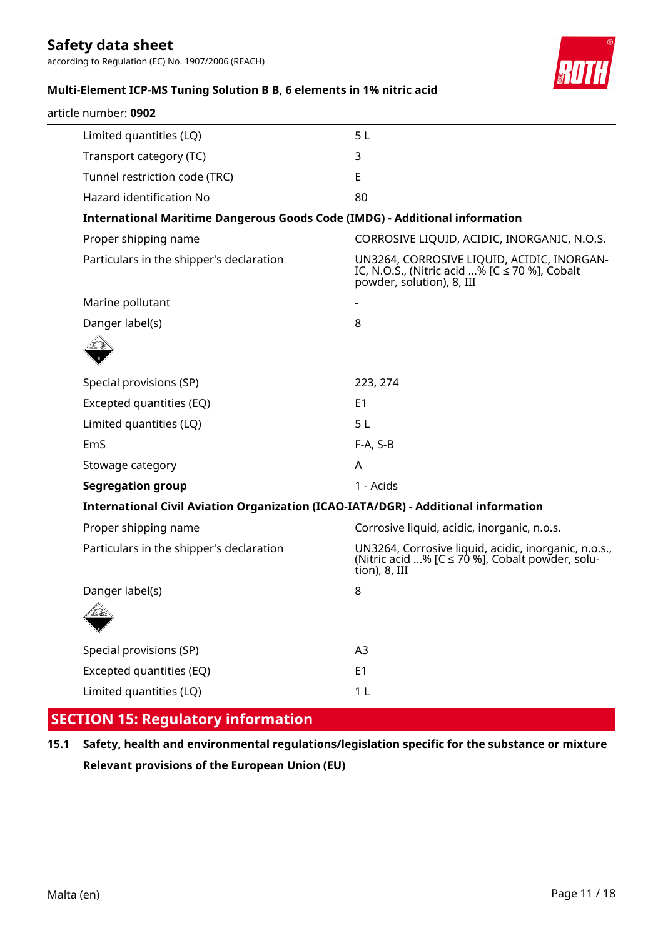according to Regulation (EC) No. 1907/2006 (REACH)



# **Multi-Element ICP-MS Tuning Solution B B, 6 elements in 1% nitric acid**

| article number: 0902                                                               |                                                                                                                               |
|------------------------------------------------------------------------------------|-------------------------------------------------------------------------------------------------------------------------------|
| Limited quantities (LQ)                                                            | 5L                                                                                                                            |
| Transport category (TC)                                                            | 3                                                                                                                             |
| Tunnel restriction code (TRC)                                                      | E                                                                                                                             |
| Hazard identification No                                                           | 80                                                                                                                            |
| <b>International Maritime Dangerous Goods Code (IMDG) - Additional information</b> |                                                                                                                               |
| Proper shipping name                                                               | CORROSIVE LIQUID, ACIDIC, INORGANIC, N.O.S.                                                                                   |
| Particulars in the shipper's declaration                                           | UN3264, CORROSIVE LIQUID, ACIDIC, INORGAN-<br>IC, N.O.S., (Nitric acid % [C $\leq$ 70 %], Cobalt<br>powder, solution), 8, III |
| Marine pollutant                                                                   |                                                                                                                               |
| Danger label(s)                                                                    | 8                                                                                                                             |
|                                                                                    |                                                                                                                               |
| Special provisions (SP)                                                            | 223, 274                                                                                                                      |
| Excepted quantities (EQ)                                                           | E <sub>1</sub>                                                                                                                |
| Limited quantities (LQ)                                                            | 5 <sub>L</sub>                                                                                                                |
| EmS                                                                                | $F-A, S-B$                                                                                                                    |
| Stowage category                                                                   | A                                                                                                                             |
| <b>Segregation group</b>                                                           | 1 - Acids                                                                                                                     |
| International Civil Aviation Organization (ICAO-IATA/DGR) - Additional information |                                                                                                                               |
| Proper shipping name                                                               | Corrosive liquid, acidic, inorganic, n.o.s.                                                                                   |
| Particulars in the shipper's declaration                                           | UN3264, Corrosive liquid, acidic, inorganic, n.o.s.,<br>(Nitric acid % [C ≤ 70 %], Cobalt powder, solu-<br>tion), 8, III      |
| Danger label(s)                                                                    | 8                                                                                                                             |
|                                                                                    |                                                                                                                               |
| Special provisions (SP)                                                            | A3                                                                                                                            |
| Excepted quantities (EQ)                                                           | E1                                                                                                                            |
| Limited quantities (LQ)                                                            | 1 <sub>L</sub>                                                                                                                |

# **SECTION 15: Regulatory information**

**15.1 Safety, health and environmental regulations/legislation specific for the substance or mixture Relevant provisions of the European Union (EU)**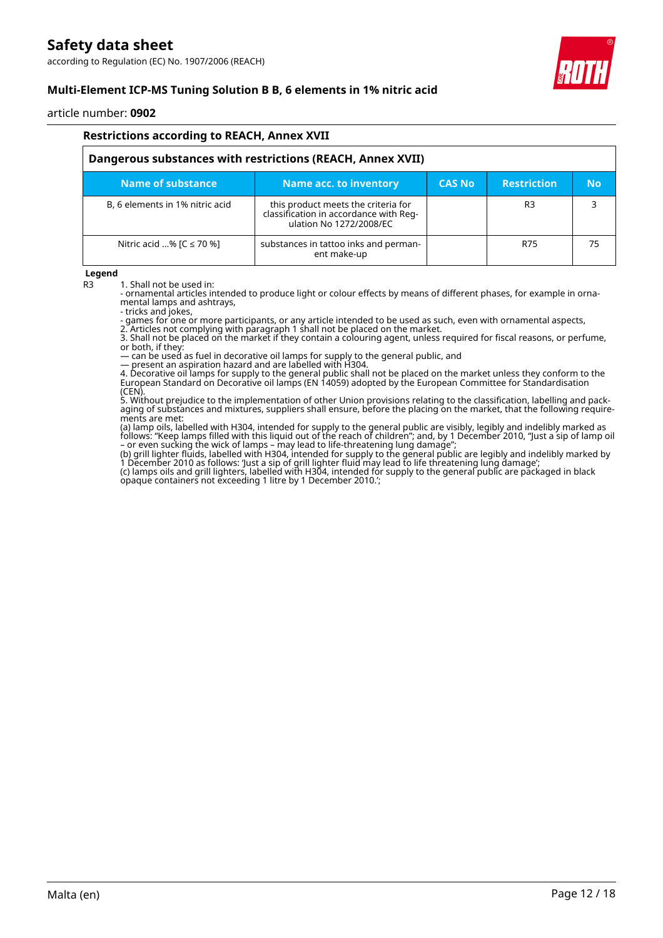according to Regulation (EC) No. 1907/2006 (REACH)



# **Multi-Element ICP-MS Tuning Solution B B, 6 elements in 1% nitric acid**

article number: **0902**

| <b>Restrictions according to REACH, Annex XVII</b>         |                                                                                                          |               |                    |           |  |  |  |
|------------------------------------------------------------|----------------------------------------------------------------------------------------------------------|---------------|--------------------|-----------|--|--|--|
| Dangerous substances with restrictions (REACH, Annex XVII) |                                                                                                          |               |                    |           |  |  |  |
| Name of substance.                                         | Name acc. to inventory                                                                                   | <b>CAS No</b> | <b>Restriction</b> | <b>No</b> |  |  |  |
| B, 6 elements in 1% nitric acid                            | this product meets the criteria for<br>classification in accordance with Reg-<br>ulation No 1272/2008/EC |               | R <sub>3</sub>     |           |  |  |  |
| Nitric acid % $[C \le 70$ %]                               | substances in tattoo inks and perman-<br>ent make-up                                                     |               | R75                | 75        |  |  |  |

#### **Legend**

R3 1. Shall not be used in:

- ornamental articles intended to produce light or colour effects by means of different phases, for example in ornamental lamps and ashtrays,

- tricks and jokes,

- games for one or more participants, or any article intended to be used as such, even with ornamental aspects,

2. Articles not complying with paragraph 1 shall not be placed on the market. 3. Shall not be placed on the market if they contain a colouring agent, unless required for fiscal reasons, or perfume, or both, if they:

— can be used as fuel in decorative oil lamps for supply to the general public, and

— present an aspiration hazard and are labelled with H304.

4. Decorative oil lamps for supply to the general public shall not be placed on the market unless they conform to the European Standard on Decorative oil lamps (EN 14059) adopted by the European Committee for Standardisation (CEN).

5. Without prejudice to the implementation of other Union provisions relating to the classification, labelling and packaging of substances and mixtures, suppliers shall ensure, before the placing on the market, that the following requirements are met:

(a) lamp oils, labelled with H304, intended for supply to the general public are visibly, legibly and indelibly marked as follows: "Keep lamps filled with this liquid out of the reach of children"; and, by 1 December 2010, "Just a sip of lamp oil – or even sucking the wick of lamps – may lead to life-threatening lung damage";

(b) grill lighter fluids, labelled with H304, intended for supply to the general public are legibly and indelibly marked by 1 December 2010 as follows: 'Just a sip of grill lighter fluid may lead to life threatening lung damage'; (c) lamps oils and grill lighters, labelled with H304, intended for supply to the general public are packaged in black opaque containers not exceeding 1 litre by 1 December 2010.';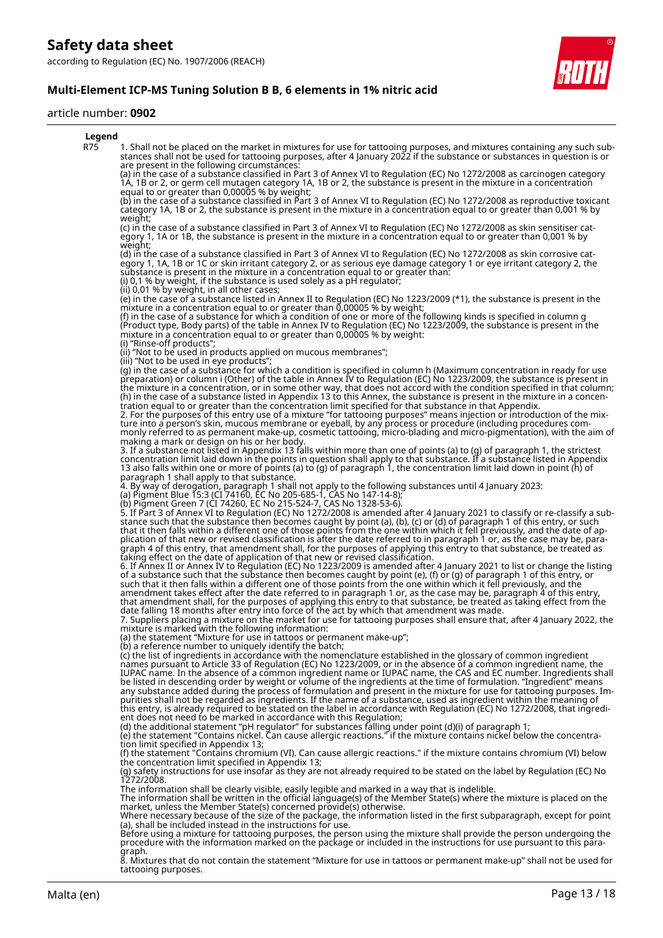**Multi-Element ICP-MS Tuning Solution B B, 6 elements in 1% nitric acid**

#### article number: **0902**



8. Mixtures that do not contain the statement "Mixture for use in tattoos or permanent make-up" shall not be used for tattooing purposes.

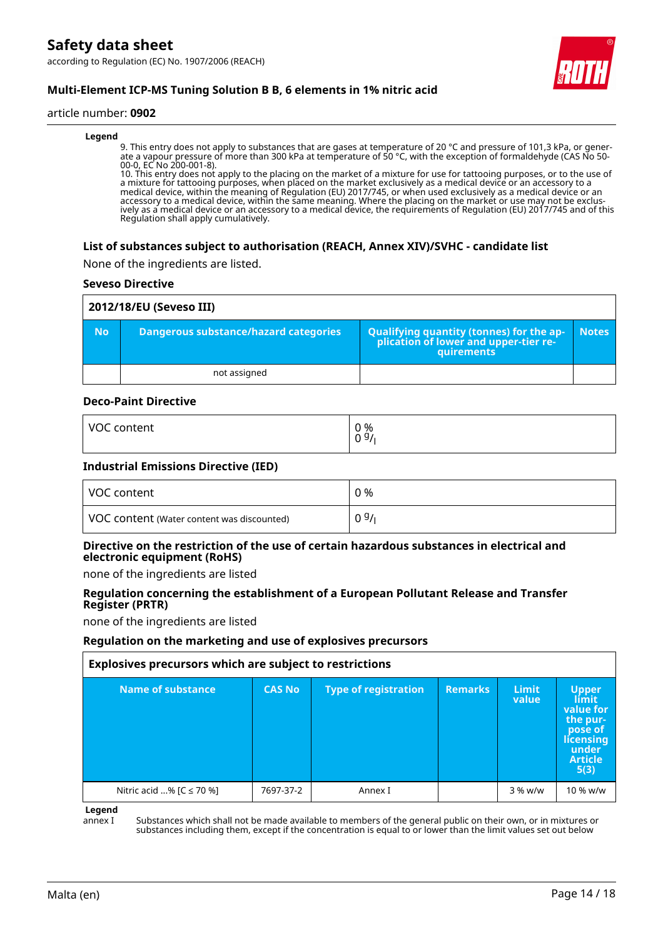according to Regulation (EC) No. 1907/2006 (REACH)



# **Multi-Element ICP-MS Tuning Solution B B, 6 elements in 1% nitric acid**

#### article number: **0902**

#### **Legend**

9. This entry does not apply to substances that are gases at temperature of 20 °C and pressure of 101,3 kPa, or generate a vapour pressure of more than 300 kPa at temperature of 50 °C, with the exception of formaldehyde (CAS No 50- 00-0, EC No 200-001-8).

10. This entry does not apply to the placing on the market of a mixture for use for tattooing purposes, or to the use of a mixture for tattooing purposes, when placed on the market exclusively as a medical device or an accessory to a medical device, within the meaning of Regulation (EU) 2017/745, or when used exclusively as a medical device or an accessory to a medical device, within the same meaning. Where the placing on the market or use may not be exclusively as a medical device or an accessory to a medical device, the requirements of Regulation (EU) 2017/745 and of this Regulation shall apply cumulatively.

#### **List of substances subject to authorisation (REACH, Annex XIV)/SVHC - candidate list**

None of the ingredients are listed.

#### **Seveso Directive**

| 2012/18/EU (Seveso III) |                                       |                                                                                            |              |
|-------------------------|---------------------------------------|--------------------------------------------------------------------------------------------|--------------|
| <b>No</b>               | Dangerous substance/hazard categories | Qualifying quantity (tonnes) for the application of lower and upper-tier re-<br>quirements | <b>Notes</b> |
|                         | not assigned                          |                                                                                            |              |

#### **Deco-Paint Directive**

| <b>VOC</b> | 0 % |
|------------|-----|
| content    | 09/ |
|            |     |

#### **Industrial Emissions Directive (IED)**

| VOC content                                | 0 %  |
|--------------------------------------------|------|
| VOC content (Water content was discounted) | 09/1 |

### **Directive on the restriction of the use of certain hazardous substances in electrical and electronic equipment (RoHS)**

none of the ingredients are listed

#### **Regulation concerning the establishment of a European Pollutant Release and Transfer Register (PRTR)**

none of the ingredients are listed

#### **Regulation on the marketing and use of explosives precursors**

| Explosives precursors which are subject to restrictions |               |                             |                |                       |                                                                                                           |
|---------------------------------------------------------|---------------|-----------------------------|----------------|-----------------------|-----------------------------------------------------------------------------------------------------------|
| Name of substance                                       | <b>CAS No</b> | <b>Type of registration</b> | <b>Remarks</b> | <b>Limit</b><br>value | <b>Upper</b><br>limit<br>value for<br>the pur-<br>pose of<br>licensing<br>under<br><b>Article</b><br>5(3) |
| Nitric acid % [C ≤ 70 %]                                | 7697-37-2     | Annex I                     |                | 3 % w/w               | 10 % w/w                                                                                                  |

**Legend**

annex I Substances which shall not be made available to members of the general public on their own, or in mixtures or substances including them, except if the concentration is equal to or lower than the limit values set out below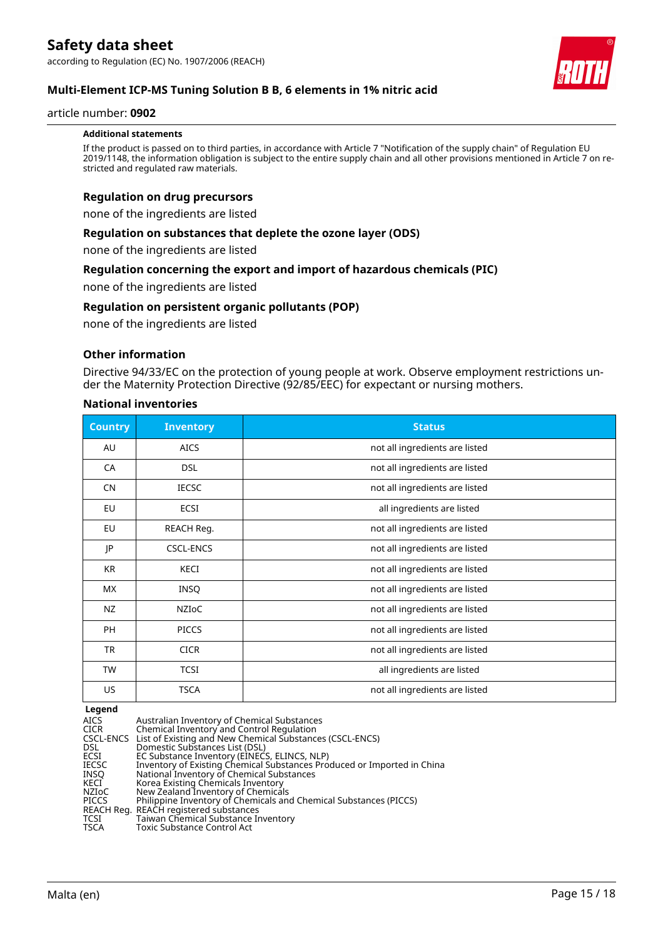

#### article number: **0902**

#### **Additional statements**

If the product is passed on to third parties, in accordance with Article 7 "Notification of the supply chain" of Regulation EU 2019/1148, the information obligation is subject to the entire supply chain and all other provisions mentioned in Article 7 on restricted and regulated raw materials.

#### **Regulation on drug precursors**

none of the ingredients are listed

#### **Regulation on substances that deplete the ozone layer (ODS)**

none of the ingredients are listed

#### **Regulation concerning the export and import of hazardous chemicals (PIC)**

none of the ingredients are listed

#### **Regulation on persistent organic pollutants (POP)**

none of the ingredients are listed

#### **Other information**

Directive 94/33/EC on the protection of young people at work. Observe employment restrictions under the Maternity Protection Directive (92/85/EEC) for expectant or nursing mothers.

#### **National inventories**

| <b>Country</b> | <b>Inventory</b> | <b>Status</b>                  |
|----------------|------------------|--------------------------------|
| AU             | <b>AICS</b>      | not all ingredients are listed |
| CA             | <b>DSL</b>       | not all ingredients are listed |
| <b>CN</b>      | <b>IECSC</b>     | not all ingredients are listed |
| EU             | <b>ECSI</b>      | all ingredients are listed     |
| EU             | REACH Reg.       | not all ingredients are listed |
| IP             | <b>CSCL-ENCS</b> | not all ingredients are listed |
| KR             | KECI             | not all ingredients are listed |
| <b>MX</b>      | <b>INSQ</b>      | not all ingredients are listed |
| NZ             | <b>NZIOC</b>     | not all ingredients are listed |
| <b>PH</b>      | <b>PICCS</b>     | not all ingredients are listed |
| <b>TR</b>      | <b>CICR</b>      | not all ingredients are listed |
| <b>TW</b>      | <b>TCSI</b>      | all ingredients are listed     |
| US             | <b>TSCA</b>      | not all ingredients are listed |

#### **Legend**

| <u>radina</u> |                                                                         |
|---------------|-------------------------------------------------------------------------|
| AICS          | Australian Inventory of Chemical Substances                             |
| <b>CICR</b>   | Chemical Inventory and Control Regulation                               |
|               | CSCL-ENCS List of Existing and New Chemical Substances (CSCL-ENCS)      |
| <b>DSL</b>    | Domestic Substances List (DSL)                                          |
| ECSI          | EC Substance Inventory (EINECS, ELINCS, NLP)                            |
| IECSC         | Inventory of Existing Chemical Substances Produced or Imported in China |
| INSO          | National Inventory of Chemical Substances                               |
| KECI          | Korea Existing Chemicals Inventory                                      |
| NZIoC         | New Zealand Inventory of Chemicals                                      |
| <b>PICCS</b>  | Philippine Inventory of Chemicals and Chemical Substances (PICCS)       |
|               | REACH Reg. REACH registered substances                                  |
| TCSI          | Taiwan Chemical Substance Inventory                                     |
| TSCA          | Toxic Substance Control Act                                             |

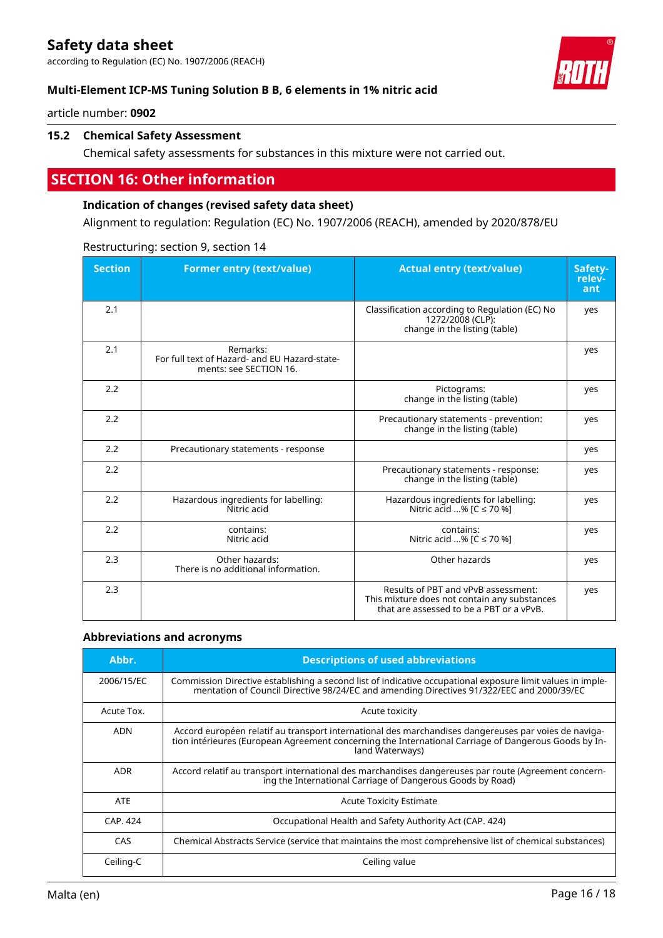according to Regulation (EC) No. 1907/2006 (REACH)



article number: **0902**

# **15.2 Chemical Safety Assessment**

Chemical safety assessments for substances in this mixture were not carried out.

# **SECTION 16: Other information**

### **Indication of changes (revised safety data sheet)**

Alignment to regulation: Regulation (EC) No. 1907/2006 (REACH), amended by 2020/878/EU

| <b>Section</b> | <b>Former entry (text/value)</b>                                                    | <b>Actual entry (text/value)</b>                                                                                                | Safety-<br>relev-<br>ant |
|----------------|-------------------------------------------------------------------------------------|---------------------------------------------------------------------------------------------------------------------------------|--------------------------|
| 2.1            |                                                                                     | Classification according to Regulation (EC) No<br>1272/2008 (CLP):<br>change in the listing (table)                             | yes                      |
| 2.1            | Remarks:<br>For full text of Hazard- and EU Hazard-state-<br>ments: see SECTION 16. |                                                                                                                                 | yes                      |
| 2.2            |                                                                                     | Pictograms:<br>change in the listing (table)                                                                                    | yes                      |
| 2.2            |                                                                                     | Precautionary statements - prevention:<br>change in the listing (table)                                                         | yes                      |
| 2.2            | Precautionary statements - response                                                 |                                                                                                                                 | yes                      |
| 2.2            |                                                                                     | Precautionary statements - response:<br>change in the listing (table)                                                           | yes                      |
| 2.2            | Hazardous ingredients for labelling:<br>Nitric acid                                 | Hazardous ingredients for labelling:<br>Nitric acid % [C ≤ 70 %]                                                                | yes                      |
| 2.2            | contains:<br>Nitric acid                                                            | contains:<br>Nitric acid % [C ≤ 70 %]                                                                                           | yes                      |
| 2.3            | Other hazards:<br>There is no additional information.                               | Other hazards                                                                                                                   | yes                      |
| 2.3            |                                                                                     | Results of PBT and vPvB assessment:<br>This mixture does not contain any substances<br>that are assessed to be a PBT or a vPvB. | yes                      |

Restructuring: section 9, section 14

#### **Abbreviations and acronyms**

| Abbr.      | <b>Descriptions of used abbreviations</b>                                                                                                                                                                                       |
|------------|---------------------------------------------------------------------------------------------------------------------------------------------------------------------------------------------------------------------------------|
| 2006/15/EC | Commission Directive establishing a second list of indicative occupational exposure limit values in imple-<br>mentation of Council Directive 98/24/EC and amending Directives 91/322/EEC and 2000/39/EC                         |
| Acute Tox. | Acute toxicity                                                                                                                                                                                                                  |
| <b>ADN</b> | Accord européen relatif au transport international des marchandises dangereuses par voies de naviga-<br>tion intérieures (European Agreement concerning the International Carriage of Dangerous Goods by In-<br>land Waterways) |
| <b>ADR</b> | Accord relatif au transport international des marchandises dangereuses par route (Agreement concern-<br>ing the International Carriage of Dangerous Goods by Road)                                                              |
| <b>ATE</b> | <b>Acute Toxicity Estimate</b>                                                                                                                                                                                                  |
| CAP. 424   | Occupational Health and Safety Authority Act (CAP. 424)                                                                                                                                                                         |
| CAS        | Chemical Abstracts Service (service that maintains the most comprehensive list of chemical substances)                                                                                                                          |
| Ceiling-C  | Ceiling value                                                                                                                                                                                                                   |

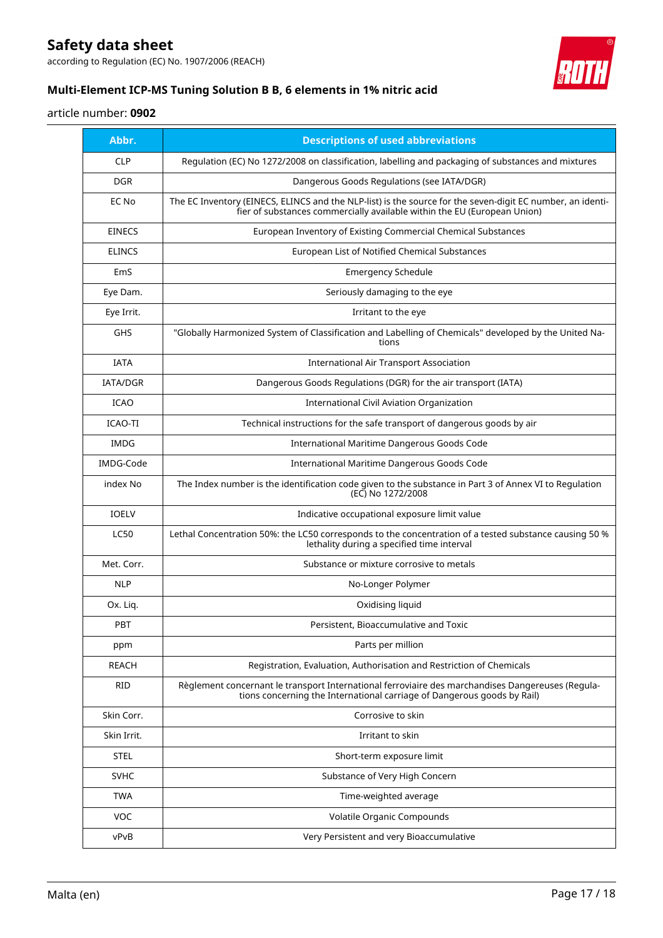according to Regulation (EC) No. 1907/2006 (REACH)



# **Multi-Element ICP-MS Tuning Solution B B, 6 elements in 1% nitric acid**

# article number: **0902**

| Abbr.           | <b>Descriptions of used abbreviations</b>                                                                                                                                              |
|-----------------|----------------------------------------------------------------------------------------------------------------------------------------------------------------------------------------|
| <b>CLP</b>      | Regulation (EC) No 1272/2008 on classification, labelling and packaging of substances and mixtures                                                                                     |
| <b>DGR</b>      | Dangerous Goods Regulations (see IATA/DGR)                                                                                                                                             |
| EC No           | The EC Inventory (EINECS, ELINCS and the NLP-list) is the source for the seven-digit EC number, an identi-<br>fier of substances commercially available within the EU (European Union) |
| <b>EINECS</b>   | European Inventory of Existing Commercial Chemical Substances                                                                                                                          |
| <b>ELINCS</b>   | European List of Notified Chemical Substances                                                                                                                                          |
| EmS             | <b>Emergency Schedule</b>                                                                                                                                                              |
| Eye Dam.        | Seriously damaging to the eye                                                                                                                                                          |
| Eye Irrit.      | Irritant to the eye                                                                                                                                                                    |
| GHS             | "Globally Harmonized System of Classification and Labelling of Chemicals" developed by the United Na-<br>tions                                                                         |
| <b>IATA</b>     | <b>International Air Transport Association</b>                                                                                                                                         |
| <b>IATA/DGR</b> | Dangerous Goods Regulations (DGR) for the air transport (IATA)                                                                                                                         |
| <b>ICAO</b>     | International Civil Aviation Organization                                                                                                                                              |
| <b>ICAO-TI</b>  | Technical instructions for the safe transport of dangerous goods by air                                                                                                                |
| <b>IMDG</b>     | <b>International Maritime Dangerous Goods Code</b>                                                                                                                                     |
| IMDG-Code       | International Maritime Dangerous Goods Code                                                                                                                                            |
| index No        | The Index number is the identification code given to the substance in Part 3 of Annex VI to Regulation<br>(EC) No 1272/2008                                                            |
| <b>IOELV</b>    | Indicative occupational exposure limit value                                                                                                                                           |
| <b>LC50</b>     | Lethal Concentration 50%: the LC50 corresponds to the concentration of a tested substance causing 50 %<br>lethality during a specified time interval                                   |
| Met. Corr.      | Substance or mixture corrosive to metals                                                                                                                                               |
| <b>NLP</b>      | No-Longer Polymer                                                                                                                                                                      |
| Ox. Liq.        | Oxidising liquid                                                                                                                                                                       |
| PBT             | Persistent, Bioaccumulative and Toxic                                                                                                                                                  |
| ppm             | Parts per million                                                                                                                                                                      |
| <b>REACH</b>    | Registration, Evaluation, Authorisation and Restriction of Chemicals                                                                                                                   |
| RID             | Règlement concernant le transport International ferroviaire des marchandises Dangereuses (Regula-<br>tions concerning the International carriage of Dangerous goods by Rail)           |
| Skin Corr.      | Corrosive to skin                                                                                                                                                                      |
| Skin Irrit.     | Irritant to skin                                                                                                                                                                       |
| STEL            | Short-term exposure limit                                                                                                                                                              |
| <b>SVHC</b>     | Substance of Very High Concern                                                                                                                                                         |
| <b>TWA</b>      | Time-weighted average                                                                                                                                                                  |
| <b>VOC</b>      | Volatile Organic Compounds                                                                                                                                                             |
| vPvB            | Very Persistent and very Bioaccumulative                                                                                                                                               |